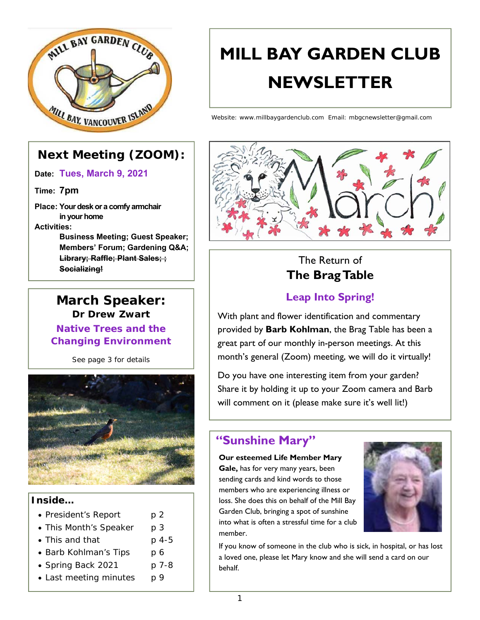

### **Next Meeting (ZOOM):**

**Date: Tues, March 9, 2021**

**Time: 7pm**

**Place: Your desk or a comfy armchair in your home**

### **Activities:**

**Business Meeting; Guest Speaker; Members' Forum; Gardening Q&A; Library; Raffle; Plant Sales; ; Socializing!**



*See page 3 for details* 



### **Inside…**

- President's Report p 2
- This Month's Speaker p 3
- This and that p 4-5
- Barb Kohlman's Tips p 6
- Spring Back 2021 p 7-8
- $\bullet$  Last meeting minutes p 9

# **MILL BAY GARDEN CLUB NEWSLETTER**

Website: www.millbaygardenclub.com Email: mbgcnewsletter@gmail.com



### The Return of **The Brag Table**

### **Leap Into Spring!**

With plant and flower identification and commentary provided by **Barb Kohlman**, the Brag Table has been a great part of our monthly in-person meetings. At this month's general (Zoom) meeting, we will do it virtually!

Do you have one interesting item from your garden? Share it by holding it up to your Zoom camera and Barb will comment on it (please make sure it's well lit!)

### **"Sunshine Mary"**

#### **Our esteemed Life Member Mary**

**Gale,** has for very many years, been sending cards and kind words to those members who are experiencing illness or loss. She does this on behalf of the Mill Bay Garden Club, bringing a spot of sunshine into what is often a stressful time for a club member.



If you know of someone in the club who is sick, in hospital, or has lost a loved one, please let Mary know and she will send a card on our behalf.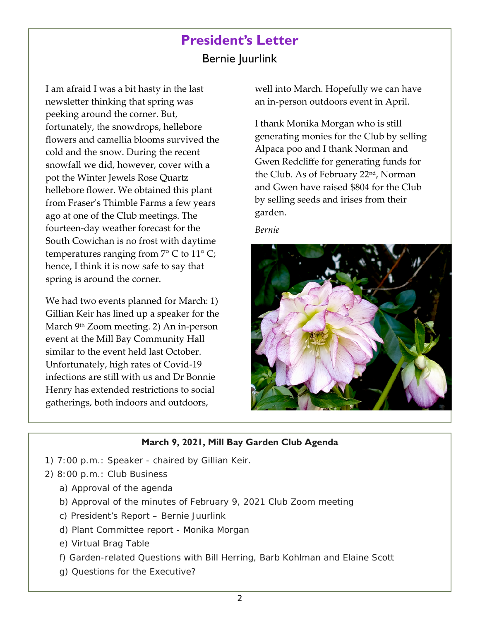## **President's Letter**  Bernie Juurlink

I am afraid I was a bit hasty in the last newsletter thinking that spring was peeking around the corner. But, fortunately, the snowdrops, hellebore flowers and camellia blooms survived the cold and the snow. During the recent snowfall we did, however, cover with a pot the Winter Jewels Rose Quartz hellebore flower. We obtained this plant from Fraser's Thimble Farms a few years ago at one of the Club meetings. The fourteen‐day weather forecast for the South Cowichan is no frost with daytime temperatures ranging from  $7^{\circ}$  C to  $11^{\circ}$  C; hence, I think it is now safe to say that spring is around the corner.

We had two events planned for March: 1) Gillian Keir has lined up a speaker for the March 9th Zoom meeting. 2) An in‐person event at the Mill Bay Community Hall similar to the event held last October. Unfortunately, high rates of Covid‐19 infections are still with us and Dr Bonnie Henry has extended restrictions to social gatherings, both indoors and outdoors,

well into March. Hopefully we can have an in‐person outdoors event in April.

I thank Monika Morgan who is still generating monies for the Club by selling Alpaca poo and I thank Norman and Gwen Redcliffe for generating funds for the Club. As of February 22nd, Norman and Gwen have raised \$804 for the Club by selling seeds and irises from their garden.

#### *Bernie*



### **March 9, 2021, Mill Bay Garden Club Agenda**

- 1) 7:00 p.m.: Speaker chaired by Gillian Keir.
- 2) 8:00 p.m.: Club Business
	- a) Approval of the agenda
	- b) Approval of the minutes of February 9, 2021 Club Zoom meeting
	- c) President's Report Bernie Juurlink
	- d) Plant Committee report Monika Morgan
	- e) Virtual Brag Table
	- f) Garden-related Questions with Bill Herring, Barb Kohlman and Elaine Scott
	- g) Questions for the Executive?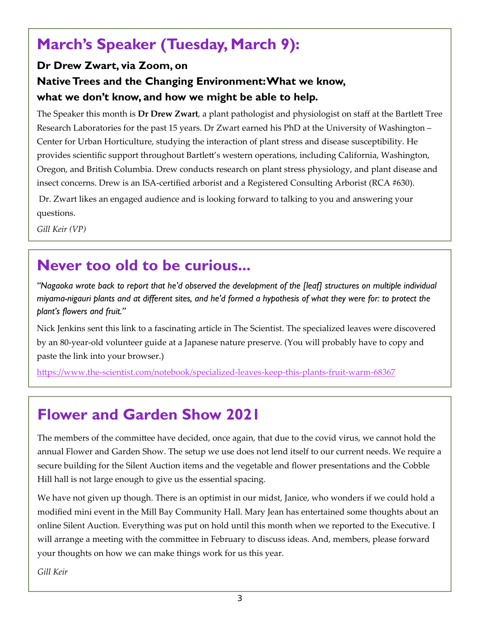# **March's Speaker (Tuesday, March 9):**

### **Dr Drew Zwart, via Zoom, on Native Trees and the Changing Environment: What we know, what we don't know, and how we might be able to help.**

The Speaker this month is **Dr Drew Zwart**, a plant pathologist and physiologist on staff at the Bartlett Tree Research Laboratories for the past 15 years. Dr Zwart earned his PhD at the University of Washington – Center for Urban Horticulture, studying the interaction of plant stress and disease susceptibility. He provides scientific support throughout Bartlett's western operations, including California, Washington, Oregon, and British Columbia. Drew conducts research on plant stress physiology, and plant disease and insect concerns. Drew is an ISA‐certified arborist and a Registered Consulting Arborist (RCA #630).

 Dr. Zwart likes an engaged audience and is looking forward to talking to you and answering your questions.

*Gill Keir (VP)*

# **Never too old to be curious...**

*"Nagaoka wrote back to report that he'd observed the development of the [leaf] structures on multiple individual miyama-nigauri plants and at different sites, and he'd formed a hypothesis of what they were for: to protect the plant's flowers and fruit."* 

Nick Jenkins sent this link to a fascinating article in The Scientist. The specialized leaves were discovered by an 80‐year‐old volunteer guide at a Japanese nature preserve. (You will probably have to copy and paste the link into your browser.)

https://www.the‐scientist.com/notebook/specialized‐leaves‐keep‐this‐plants‐fruit‐warm‐68367

# **Flower and Garden Show 2021**

The members of the committee have decided, once again, that due to the covid virus, we cannot hold the annual Flower and Garden Show. The setup we use does not lend itself to our current needs. We require a secure building for the Silent Auction items and the vegetable and flower presentations and the Cobble Hill hall is not large enough to give us the essential spacing.

We have not given up though. There is an optimist in our midst, Janice, who wonders if we could hold a modified mini event in the Mill Bay Community Hall. Mary Jean has entertained some thoughts about an online Silent Auction. Everything was put on hold until this month when we reported to the Executive. I will arrange a meeting with the committee in February to discuss ideas. And, members, please forward your thoughts on how we can make things work for us this year.

*Gill Keir*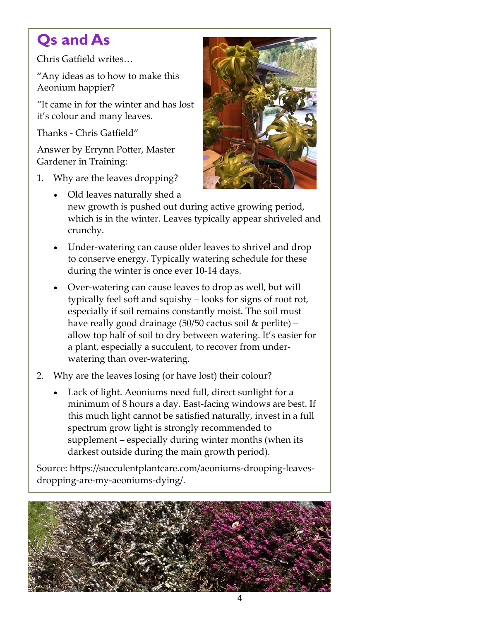# **Qs and As**

Chris Gatfield writes…

"Any ideas as to how to make this Aeonium happier?

"It came in for the winter and has lost it's colour and many leaves.

Thanks ‐ Chris Gatfield"

Answer by Errynn Potter, Master Gardener in Training:

1. Why are the leaves dropping?



- Old leaves naturally shed a new growth is pushed out during active growing period, which is in the winter. Leaves typically appear shriveled and crunchy.
- Under‐watering can cause older leaves to shrivel and drop to conserve energy. Typically watering schedule for these during the winter is once ever 10‐14 days.
- Over‐watering can cause leaves to drop as well, but will typically feel soft and squishy – looks for signs of root rot, especially if soil remains constantly moist. The soil must have really good drainage (50/50 cactus soil & perlite) – allow top half of soil to dry between watering. It's easier for a plant, especially a succulent, to recover from under‐ watering than over-watering.
- 2. Why are the leaves losing (or have lost) their colour?
	- Lack of light. Aeoniums need full, direct sunlight for a minimum of 8 hours a day. East-facing windows are best. If this much light cannot be satisfied naturally, invest in a full spectrum grow light is strongly recommended to supplement – especially during winter months (when its darkest outside during the main growth period).

Source: https://succulentplantcare.com/aeoniums‐drooping‐leaves‐ dropping‐are‐my‐aeoniums‐dying/.

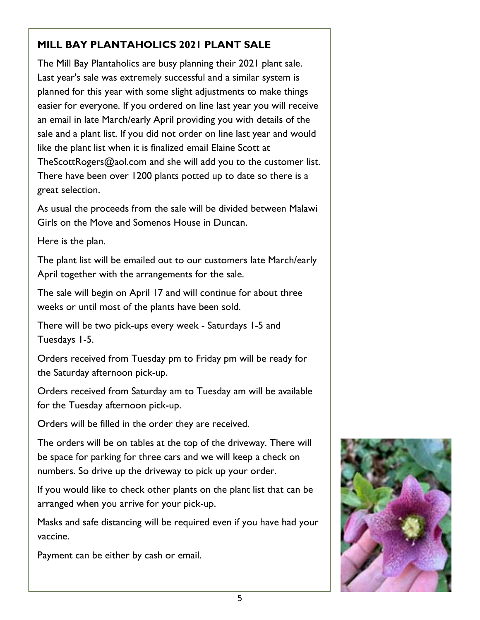### **MILL BAY PLANTAHOLICS 2021 PLANT SALE**

The Mill Bay Plantaholics are busy planning their 2021 plant sale. Last year's sale was extremely successful and a similar system is planned for this year with some slight adjustments to make things easier for everyone. If you ordered on line last year you will receive an email in late March/early April providing you with details of the sale and a plant list. If you did not order on line last year and would like the plant list when it is finalized email Elaine Scott at TheScottRogers@aol.com and she will add you to the customer list. There have been over 1200 plants potted up to date so there is a great selection.

As usual the proceeds from the sale will be divided between Malawi Girls on the Move and Somenos House in Duncan.

Here is the plan.

The plant list will be emailed out to our customers late March/early April together with the arrangements for the sale.

The sale will begin on April 17 and will continue for about three weeks or until most of the plants have been sold.

There will be two pick-ups every week - Saturdays 1-5 and Tuesdays 1-5.

Orders received from Tuesday pm to Friday pm will be ready for the Saturday afternoon pick-up.

Orders received from Saturday am to Tuesday am will be available for the Tuesday afternoon pick-up.

Orders will be filled in the order they are received.

The orders will be on tables at the top of the driveway. There will be space for parking for three cars and we will keep a check on numbers. So drive up the driveway to pick up your order.

If you would like to check other plants on the plant list that can be arranged when you arrive for your pick-up.

Masks and safe distancing will be required even if you have had your vaccine.

Payment can be either by cash or email.

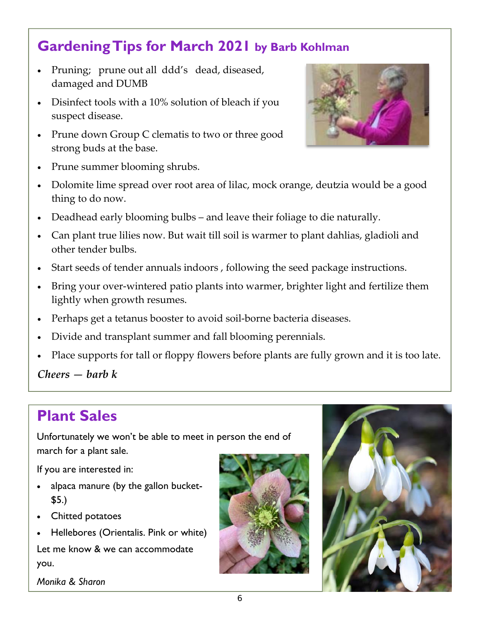# **Gardening Tips for March 2021 by Barb Kohlman**

- Pruning; prune out all ddd's dead, diseased, damaged and DUMB
- Disinfect tools with a 10% solution of bleach if you suspect disease.
- Prune down Group C clematis to two or three good strong buds at the base.



- Prune summer blooming shrubs.
- Dolomite lime spread over root area of lilac, mock orange, deutzia would be a good thing to do now.
- Deadhead early blooming bulbs and leave their foliage to die naturally.
- Can plant true lilies now. But wait till soil is warmer to plant dahlias, gladioli and other tender bulbs.
- Start seeds of tender annuals indoors , following the seed package instructions.
- Bring your over-wintered patio plants into warmer, brighter light and fertilize them lightly when growth resumes.
- Perhaps get a tetanus booster to avoid soil‐borne bacteria diseases.
- Divide and transplant summer and fall blooming perennials.
- Place supports for tall or floppy flowers before plants are fully grown and it is too late.

*Cheers — barb k* 

# **Plant Sales**

Unfortunately we won't be able to meet in person the end of march for a plant sale.

If you are interested in:

- alpaca manure (by the gallon bucket- \$5.)
- Chitted potatoes
- Hellebores (Orientalis. Pink or white)

Let me know & we can accommodate you.

*Monika & Sharon* 



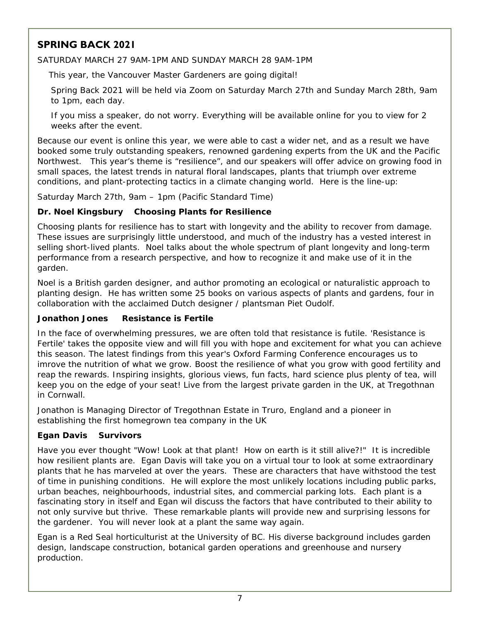### **SPRING BACK 2021**

SATURDAY MARCH 27 9AM-1PM AND SUNDAY MARCH 28 9AM-1PM

This year, the Vancouver Master Gardeners are going digital!

Spring Back 2021 will be held via Zoom on Saturday March 27th and Sunday March 28th, 9am to 1pm, each day.

If you miss a speaker, do not worry. Everything will be available online for you to view for 2 weeks after the event.

Because our event is online this year, we were able to cast a wider net, and as a result we have booked some truly outstanding speakers, renowned gardening experts from the UK and the Pacific Northwest. This year's theme is "resilience", and our speakers will offer advice on growing food in small spaces, the latest trends in natural floral landscapes, plants that triumph over extreme conditions, and plant-protecting tactics in a climate changing world. Here is the line-up:

Saturday March 27th, 9am – 1pm (Pacific Standard Time)

### **Dr. Noel Kingsbury Choosing Plants for Resilience**

Choosing plants for resilience has to start with longevity and the ability to recover from damage. These issues are surprisingly little understood, and much of the industry has a vested interest in selling short-lived plants. Noel talks about the whole spectrum of plant longevity and long-term performance from a research perspective, and how to recognize it and make use of it in the garden.

Noel is a British garden designer, and author promoting an ecological or naturalistic approach to planting design. He has written some 25 books on various aspects of plants and gardens, four in collaboration with the acclaimed Dutch designer / plantsman Piet Oudolf.

### **Jonathon Jones Resistance is Fertile**

In the face of overwhelming pressures, we are often told that resistance is futile. 'Resistance is Fertile' takes the opposite view and will fill you with hope and excitement for what you can achieve this season. The latest findings from this year's Oxford Farming Conference encourages us to imrove the nutrition of what we grow. Boost the resilience of what you grow with good fertility and reap the rewards. Inspiring insights, glorious views, fun facts, hard science plus plenty of tea, will keep you on the edge of your seat! Live from the largest private garden in the UK, at Tregothnan in Cornwall.

Jonathon is Managing Director of Tregothnan Estate in Truro, England and a pioneer in establishing the first homegrown tea company in the UK

### **Egan Davis Survivors**

Have you ever thought "Wow! Look at that plant! How on earth is it still alive?!" It is incredible how resilient plants are. Egan Davis will take you on a virtual tour to look at some extraordinary plants that he has marveled at over the years. These are characters that have withstood the test of time in punishing conditions. He will explore the most unlikely locations including public parks, urban beaches, neighbourhoods, industrial sites, and commercial parking lots. Each plant is a fascinating story in itself and Egan wil discuss the factors that have contributed to their ability to not only survive but thrive. These remarkable plants will provide new and surprising lessons for the gardener. You will never look at a plant the same way again.

Egan is a Red Seal horticulturist at the University of BC. His diverse background includes garden design, landscape construction, botanical garden operations and greenhouse and nursery production.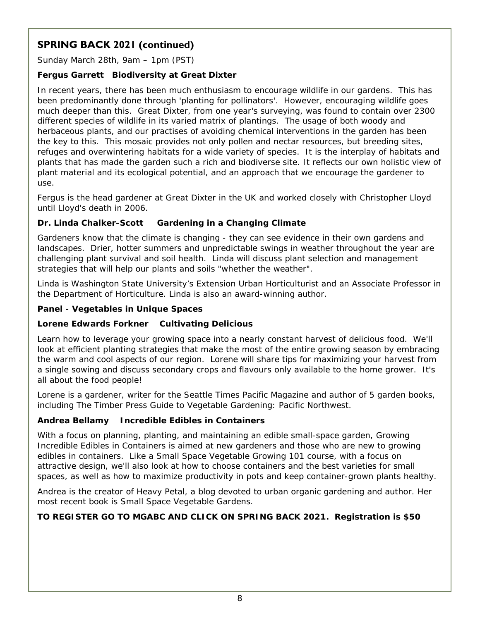### **SPRING BACK 2021 (continued)**

Sunday March 28th, 9am – 1pm (PST)

### **Fergus Garrett Biodiversity at Great Dixter**

In recent years, there has been much enthusiasm to encourage wildlife in our gardens. This has been predominantly done through 'planting for pollinators'. However, encouraging wildlife goes much deeper than this. Great Dixter, from one year's surveying, was found to contain over 2300 different species of wildlife in its varied matrix of plantings. The usage of both woody and herbaceous plants, and our practises of avoiding chemical interventions in the garden has been the key to this. This mosaic provides not only pollen and nectar resources, but breeding sites, refuges and overwintering habitats for a wide variety of species. It is the interplay of habitats and plants that has made the garden such a rich and biodiverse site. It reflects our own holistic view of plant material and its ecological potential, and an approach that we encourage the gardener to use.

Fergus is the head gardener at Great Dixter in the UK and worked closely with Christopher Lloyd until Lloyd's death in 2006.

#### **Dr. Linda Chalker-Scott Gardening in a Changing Climate**

Gardeners know that the climate is changing - they can see evidence in their own gardens and landscapes. Drier, hotter summers and unpredictable swings in weather throughout the year are challenging plant survival and soil health. Linda will discuss plant selection and management strategies that will help our plants and soils "whether the weather".

Linda is Washington State University's Extension Urban Horticulturist and an Associate Professor in the Department of Horticulture. Linda is also an award-winning author.

#### **Panel - Vegetables in Unique Spaces**

### **Lorene Edwards Forkner Cultivating Delicious**

Learn how to leverage your growing space into a nearly constant harvest of delicious food. We'll look at efficient planting strategies that make the most of the entire growing season by embracing the warm and cool aspects of our region. Lorene will share tips for maximizing your harvest from a single sowing and discuss secondary crops and flavours only available to the home grower. It's all about the food people!

Lorene is a gardener, writer for the Seattle Times Pacific Magazine and author of 5 garden books, including The Timber Press Guide to Vegetable Gardening: Pacific Northwest.

### **Andrea Bellamy Incredible Edibles in Containers**

With a focus on planning, planting, and maintaining an edible small-space garden, Growing Incredible Edibles in Containers is aimed at new gardeners and those who are new to growing edibles in containers. Like a Small Space Vegetable Growing 101 course, with a focus on attractive design, we'll also look at how to choose containers and the best varieties for small spaces, as well as how to maximize productivity in pots and keep container-grown plants healthy.

Andrea is the creator of Heavy Petal, a blog devoted to urban organic gardening and author. Her most recent book is Small Space Vegetable Gardens.

### **TO REGISTER GO TO MGABC AND CLICK ON SPRING BACK 2021. Registration is \$50**